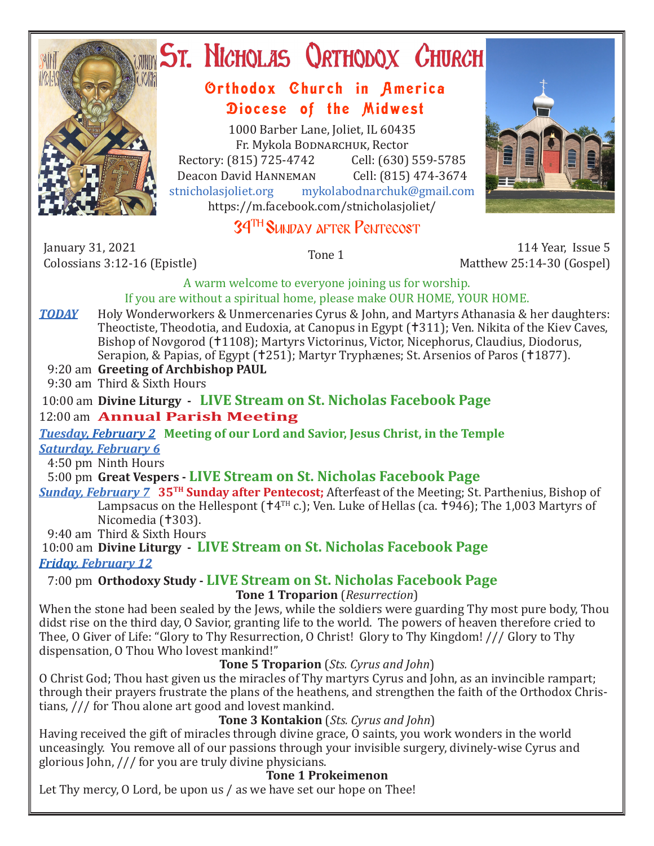

# ST. NICHOLAS QRTHODOX CHURCH

## Orthodox Church in America Diocese of the Midwest

1000 Barber Lane, Joliet, IL 60435 Fr. Mykola Bodnarchuk, Rector Rectory: (815) 725-4742 Cell: (630) 559-5785<br>Deacon David HANNEMAN Cell: (815) 474-3674 Deacon David HANNEMAN<br>stnicholasioliet.org mvk mykolabodnarchuk@gmail.com https://m.facebook.com/stnicholasjoliet/



# 34TH Sunday after Pentecost

January 31, 2021<br>Colossians 3:12-16 (Epistle)

Colossians 3:12-16 (Epistle) Tone 1 114 Year, Issue 5 Matthew 25:14-30 (Gospel)

A warm welcome to everyone joining us for worship.

#### If you are without a spiritual home, please make OUR HOME, YOUR HOME.

**TODAY** Holy Wonderworkers & Unmercenaries Cyrus & John, and Martyrs Athanasia & her daughters: Theoctiste. Theodotia, and Eudoxia, at Canopus in Egypt (†311); Ven. Nikita of the Kiev Caves, Bishop of Novgorod (1108); Martyrs Victorinus, Victor, Nicephorus, Claudius, Diodorus, Serapion, & Papias, of Egypt (†251); Martyr Tryphænes; St. Arsenios of Paros (†1877).

#### 9:20 am **Greeting of Archbishop PAUL**

9:30 am Third & Sixth Hours

#### 10:00 am **Divine Liturgy -****LIVE Stream on St. Nicholas Facebook Page** 12:00 am **Annual Parish Meeting**

*Tuesday, February 2* **Meeting of our Lord and Savior, Jesus Christ, in the Temple** *Saturday, February 6*

4:50 pm Ninth Hours

#### 5:00 pm **Great Vespers - LIVE Stream on St. Nicholas Facebook Page**

*Sunday, February 7* **35TH Sunday after Pentecost;** Afterfeast of the Meeting; St. Parthenius, Bishop of Lampsacus on the Hellespont ( $\uparrow$ 4<sup>TH</sup> c.); Ven. Luke of Hellas (ca.  $\uparrow$ 946); The 1,003 Martyrs of Nicomedia (†303).

9:40 am Third & Sixth Hours

 10:00 am **Divine Liturgy - LIVE Stream on St. Nicholas Facebook Page** *Friday, February 12* 

## 7:00 pm **Orthodoxy Study - LIVE Stream on St. Nicholas Facebook Page**

#### **Tone 1 Troparion** (*Resurrection*)

When the stone had been sealed by the Jews, while the soldiers were guarding Thy most pure body. Thou didst rise on the third day, O Savior, granting life to the world. The powers of heaven therefore cried to Thee, O Giver of Life: "Glory to Thy Resurrection, O Christ! Glory to Thy Kingdom! /// Glory to Thy dispensation, O Thou Who lovest mankind!"

#### **Tone 5 Troparion** (*Sts. Cyrus and John*)

O Christ God; Thou hast given us the miracles of Thy martyrs Cyrus and John, as an invincible rampart; through their prayers frustrate the plans of the heathens, and strengthen the faith of the Orthodox Christians, /// for Thou alone art good and lovest mankind.

#### **Tone 3 Kontakion** (*Sts. Cyrus and John*)

Having received the gift of miracles through divine grace, O saints, you work wonders in the world unceasingly. You remove all of our passions through your invisible surgery, divinely-wise Cyrus and glorious John, /// for you are truly divine physicians.

## **Tone 1 Prokeimenon**

Let Thy mercy, O Lord, be upon us / as we have set our hope on Thee!